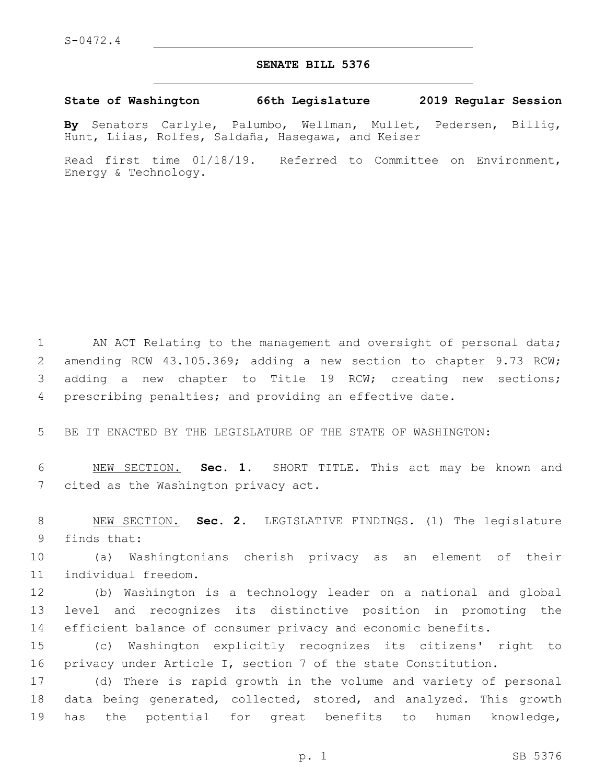## **SENATE BILL 5376**

**State of Washington 66th Legislature 2019 Regular Session**

**By** Senators Carlyle, Palumbo, Wellman, Mullet, Pedersen, Billig, Hunt, Liias, Rolfes, Saldaña, Hasegawa, and Keiser

Read first time 01/18/19. Referred to Committee on Environment, Energy & Technology.

1 AN ACT Relating to the management and oversight of personal data; amending RCW 43.105.369; adding a new section to chapter 9.73 RCW; adding a new chapter to Title 19 RCW; creating new sections; prescribing penalties; and providing an effective date.

5 BE IT ENACTED BY THE LEGISLATURE OF THE STATE OF WASHINGTON:

6 NEW SECTION. **Sec. 1.** SHORT TITLE. This act may be known and 7 cited as the Washington privacy act.

8 NEW SECTION. **Sec. 2.** LEGISLATIVE FINDINGS. (1) The legislature 9 finds that:

10 (a) Washingtonians cherish privacy as an element of their individual freedom.11

12 (b) Washington is a technology leader on a national and global 13 level and recognizes its distinctive position in promoting the 14 efficient balance of consumer privacy and economic benefits.

15 (c) Washington explicitly recognizes its citizens' right to 16 privacy under Article I, section 7 of the state Constitution.

17 (d) There is rapid growth in the volume and variety of personal 18 data being generated, collected, stored, and analyzed. This growth 19 has the potential for great benefits to human knowledge,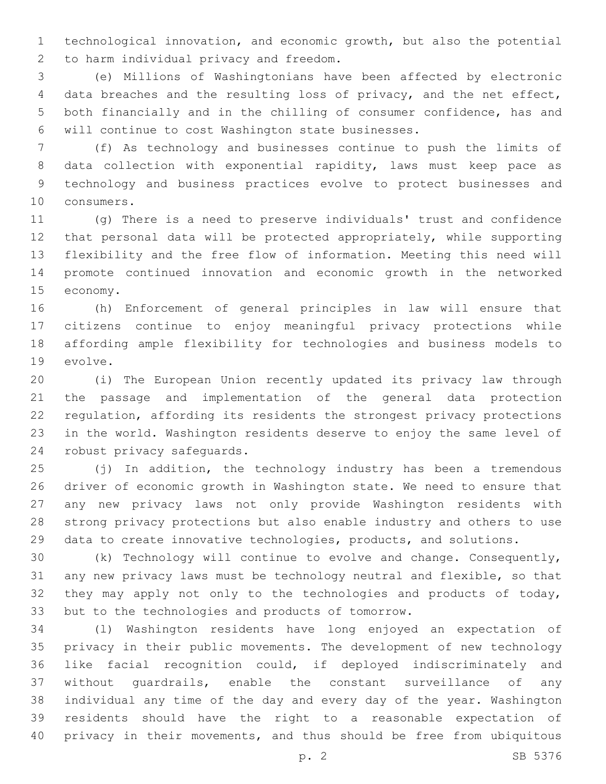technological innovation, and economic growth, but also the potential 2 to harm individual privacy and freedom.

 (e) Millions of Washingtonians have been affected by electronic data breaches and the resulting loss of privacy, and the net effect, both financially and in the chilling of consumer confidence, has and 6 will continue to cost Washington state businesses.

 (f) As technology and businesses continue to push the limits of data collection with exponential rapidity, laws must keep pace as technology and business practices evolve to protect businesses and 10 consumers.

 (g) There is a need to preserve individuals' trust and confidence that personal data will be protected appropriately, while supporting flexibility and the free flow of information. Meeting this need will promote continued innovation and economic growth in the networked 15 economy.

 (h) Enforcement of general principles in law will ensure that citizens continue to enjoy meaningful privacy protections while affording ample flexibility for technologies and business models to 19 evolve.

 (i) The European Union recently updated its privacy law through the passage and implementation of the general data protection regulation, affording its residents the strongest privacy protections in the world. Washington residents deserve to enjoy the same level of 24 robust privacy safequards.

 (j) In addition, the technology industry has been a tremendous driver of economic growth in Washington state. We need to ensure that any new privacy laws not only provide Washington residents with strong privacy protections but also enable industry and others to use data to create innovative technologies, products, and solutions.

 (k) Technology will continue to evolve and change. Consequently, any new privacy laws must be technology neutral and flexible, so that they may apply not only to the technologies and products of today, 33 but to the technologies and products of tomorrow.

 (l) Washington residents have long enjoyed an expectation of privacy in their public movements. The development of new technology like facial recognition could, if deployed indiscriminately and without guardrails, enable the constant surveillance of any individual any time of the day and every day of the year. Washington residents should have the right to a reasonable expectation of privacy in their movements, and thus should be free from ubiquitous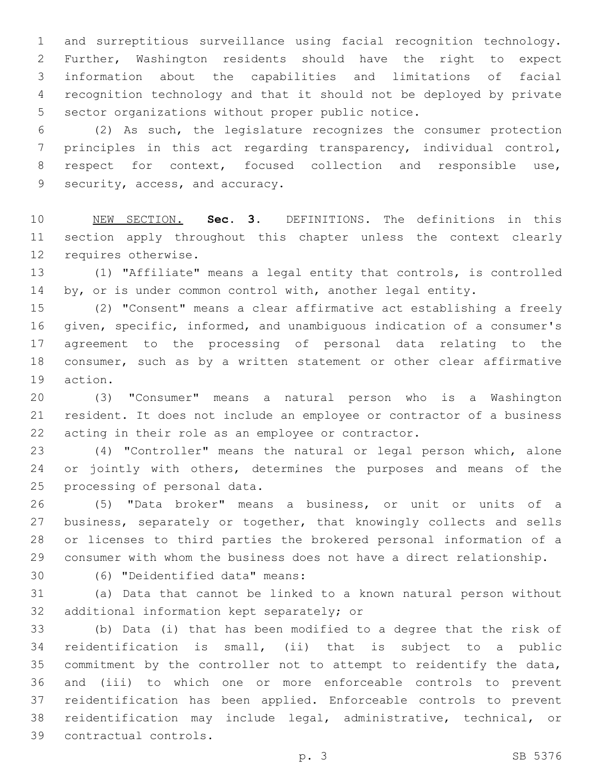and surreptitious surveillance using facial recognition technology. Further, Washington residents should have the right to expect information about the capabilities and limitations of facial recognition technology and that it should not be deployed by private 5 sector organizations without proper public notice.

 (2) As such, the legislature recognizes the consumer protection principles in this act regarding transparency, individual control, 8 respect for context, focused collection and responsible use, 9 security, access, and accuracy.

 NEW SECTION. **Sec. 3.** DEFINITIONS. The definitions in this section apply throughout this chapter unless the context clearly requires otherwise.

 (1) "Affiliate" means a legal entity that controls, is controlled 14 by, or is under common control with, another legal entity.

 (2) "Consent" means a clear affirmative act establishing a freely given, specific, informed, and unambiguous indication of a consumer's agreement to the processing of personal data relating to the consumer, such as by a written statement or other clear affirmative 19 action.

 (3) "Consumer" means a natural person who is a Washington resident. It does not include an employee or contractor of a business acting in their role as an employee or contractor.

 (4) "Controller" means the natural or legal person which, alone 24 or jointly with others, determines the purposes and means of the 25 processing of personal data.

 (5) "Data broker" means a business, or unit or units of a business, separately or together, that knowingly collects and sells or licenses to third parties the brokered personal information of a consumer with whom the business does not have a direct relationship.

(6) "Deidentified data" means:30

 (a) Data that cannot be linked to a known natural person without 32 additional information kept separately; or

 (b) Data (i) that has been modified to a degree that the risk of reidentification is small, (ii) that is subject to a public commitment by the controller not to attempt to reidentify the data, and (iii) to which one or more enforceable controls to prevent reidentification has been applied. Enforceable controls to prevent reidentification may include legal, administrative, technical, or contractual controls.39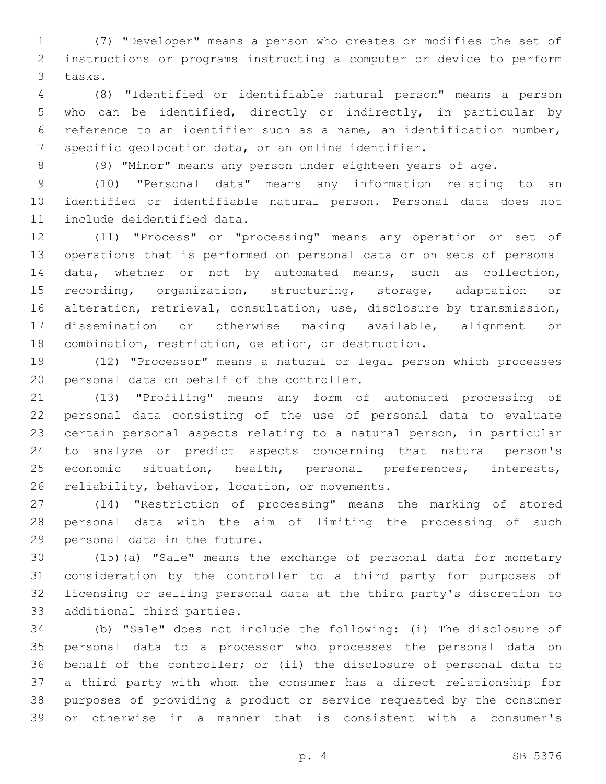(7) "Developer" means a person who creates or modifies the set of instructions or programs instructing a computer or device to perform 3 tasks.

 (8) "Identified or identifiable natural person" means a person who can be identified, directly or indirectly, in particular by reference to an identifier such as a name, an identification number, specific geolocation data, or an online identifier.

(9) "Minor" means any person under eighteen years of age.

 (10) "Personal data" means any information relating to an identified or identifiable natural person. Personal data does not 11 include deidentified data.

 (11) "Process" or "processing" means any operation or set of operations that is performed on personal data or on sets of personal data, whether or not by automated means, such as collection, 15 recording, organization, structuring, storage, adaptation or alteration, retrieval, consultation, use, disclosure by transmission, dissemination or otherwise making available, alignment or combination, restriction, deletion, or destruction.

 (12) "Processor" means a natural or legal person which processes 20 personal data on behalf of the controller.

 (13) "Profiling" means any form of automated processing of personal data consisting of the use of personal data to evaluate certain personal aspects relating to a natural person, in particular to analyze or predict aspects concerning that natural person's economic situation, health, personal preferences, interests, 26 reliability, behavior, location, or movements.

 (14) "Restriction of processing" means the marking of stored personal data with the aim of limiting the processing of such 29 personal data in the future.

 (15)(a) "Sale" means the exchange of personal data for monetary consideration by the controller to a third party for purposes of licensing or selling personal data at the third party's discretion to 33 additional third parties.

 (b) "Sale" does not include the following: (i) The disclosure of personal data to a processor who processes the personal data on behalf of the controller; or (ii) the disclosure of personal data to a third party with whom the consumer has a direct relationship for purposes of providing a product or service requested by the consumer or otherwise in a manner that is consistent with a consumer's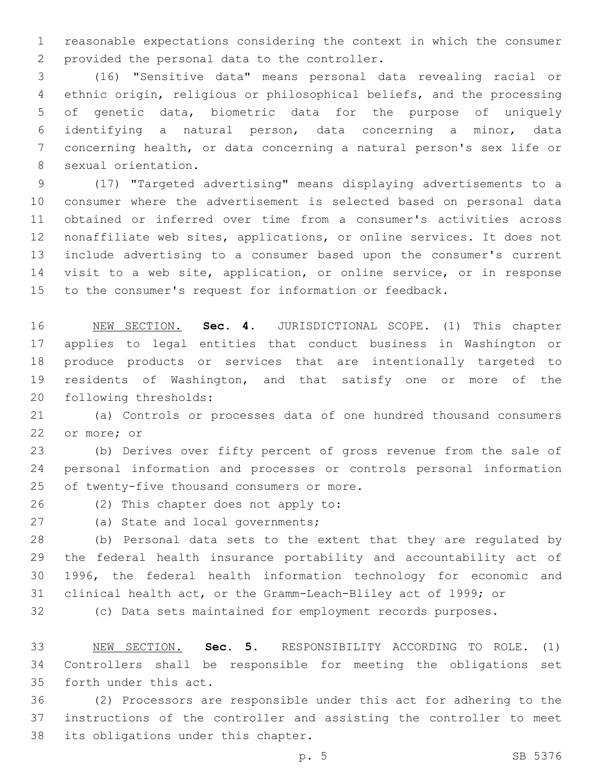reasonable expectations considering the context in which the consumer 2 provided the personal data to the controller.

 (16) "Sensitive data" means personal data revealing racial or ethnic origin, religious or philosophical beliefs, and the processing of genetic data, biometric data for the purpose of uniquely identifying a natural person, data concerning a minor, data concerning health, or data concerning a natural person's sex life or 8 sexual orientation.

 (17) "Targeted advertising" means displaying advertisements to a consumer where the advertisement is selected based on personal data obtained or inferred over time from a consumer's activities across nonaffiliate web sites, applications, or online services. It does not include advertising to a consumer based upon the consumer's current visit to a web site, application, or online service, or in response to the consumer's request for information or feedback.

 NEW SECTION. **Sec. 4.** JURISDICTIONAL SCOPE. (1) This chapter applies to legal entities that conduct business in Washington or produce products or services that are intentionally targeted to residents of Washington, and that satisfy one or more of the following thresholds:

 (a) Controls or processes data of one hundred thousand consumers 22 or more; or

 (b) Derives over fifty percent of gross revenue from the sale of personal information and processes or controls personal information 25 of twenty-five thousand consumers or more.

26 (2) This chapter does not apply to:

27 (a) State and local governments;

 (b) Personal data sets to the extent that they are regulated by the federal health insurance portability and accountability act of 1996, the federal health information technology for economic and clinical health act, or the Gramm-Leach-Bliley act of 1999; or

(c) Data sets maintained for employment records purposes.

 NEW SECTION. **Sec. 5.** RESPONSIBILITY ACCORDING TO ROLE. (1) Controllers shall be responsible for meeting the obligations set forth under this act.

 (2) Processors are responsible under this act for adhering to the instructions of the controller and assisting the controller to meet 38 its obligations under this chapter.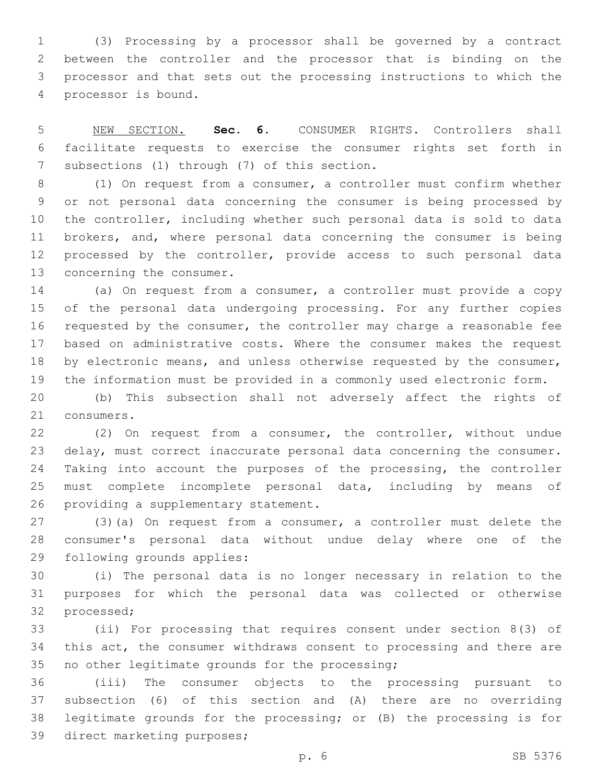(3) Processing by a processor shall be governed by a contract between the controller and the processor that is binding on the processor and that sets out the processing instructions to which the 4 processor is bound.

 NEW SECTION. **Sec. 6.** CONSUMER RIGHTS. Controllers shall facilitate requests to exercise the consumer rights set forth in subsections (1) through (7) of this section.

 (1) On request from a consumer, a controller must confirm whether or not personal data concerning the consumer is being processed by the controller, including whether such personal data is sold to data brokers, and, where personal data concerning the consumer is being 12 processed by the controller, provide access to such personal data 13 concerning the consumer.

 (a) On request from a consumer, a controller must provide a copy of the personal data undergoing processing. For any further copies requested by the consumer, the controller may charge a reasonable fee based on administrative costs. Where the consumer makes the request 18 by electronic means, and unless otherwise requested by the consumer, the information must be provided in a commonly used electronic form.

 (b) This subsection shall not adversely affect the rights of 21 consumers.

 (2) On request from a consumer, the controller, without undue delay, must correct inaccurate personal data concerning the consumer. 24 Taking into account the purposes of the processing, the controller must complete incomplete personal data, including by means of 26 providing a supplementary statement.

 (3)(a) On request from a consumer, a controller must delete the consumer's personal data without undue delay where one of the 29 following grounds applies:

 (i) The personal data is no longer necessary in relation to the purposes for which the personal data was collected or otherwise 32 processed;

 (ii) For processing that requires consent under section 8(3) of this act, the consumer withdraws consent to processing and there are 35 no other legitimate grounds for the processing;

 (iii) The consumer objects to the processing pursuant to subsection (6) of this section and (A) there are no overriding legitimate grounds for the processing; or (B) the processing is for 39 direct marketing purposes;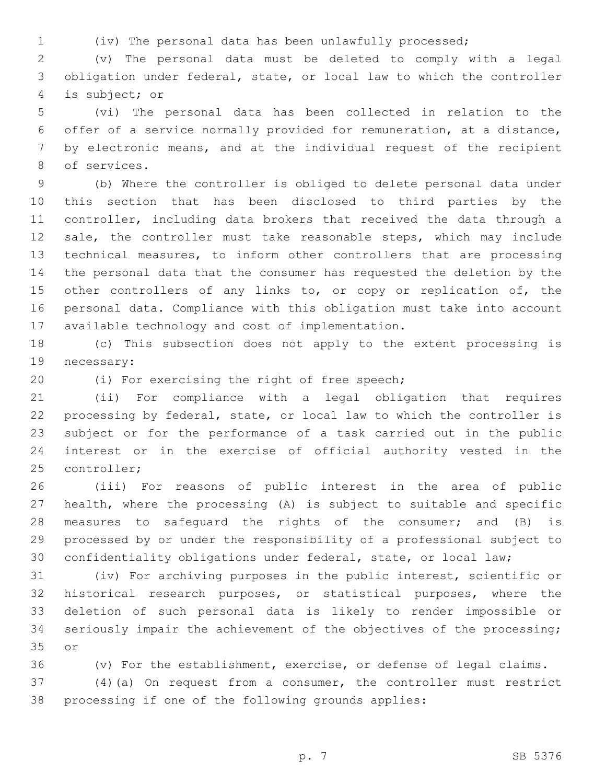(iv) The personal data has been unlawfully processed;

 (v) The personal data must be deleted to comply with a legal obligation under federal, state, or local law to which the controller is subject; or4

 (vi) The personal data has been collected in relation to the offer of a service normally provided for remuneration, at a distance, by electronic means, and at the individual request of the recipient 8 of services.

 (b) Where the controller is obliged to delete personal data under this section that has been disclosed to third parties by the controller, including data brokers that received the data through a 12 sale, the controller must take reasonable steps, which may include technical measures, to inform other controllers that are processing the personal data that the consumer has requested the deletion by the 15 other controllers of any links to, or copy or replication of, the personal data. Compliance with this obligation must take into account 17 available technology and cost of implementation.

 (c) This subsection does not apply to the extent processing is 19 necessary:

20 (i) For exercising the right of free speech;

 (ii) For compliance with a legal obligation that requires processing by federal, state, or local law to which the controller is subject or for the performance of a task carried out in the public interest or in the exercise of official authority vested in the 25 controller;

 (iii) For reasons of public interest in the area of public health, where the processing (A) is subject to suitable and specific measures to safeguard the rights of the consumer; and (B) is processed by or under the responsibility of a professional subject to confidentiality obligations under federal, state, or local law;

 (iv) For archiving purposes in the public interest, scientific or historical research purposes, or statistical purposes, where the deletion of such personal data is likely to render impossible or seriously impair the achievement of the objectives of the processing; 35 or

 (v) For the establishment, exercise, or defense of legal claims. (4)(a) On request from a consumer, the controller must restrict

processing if one of the following grounds applies: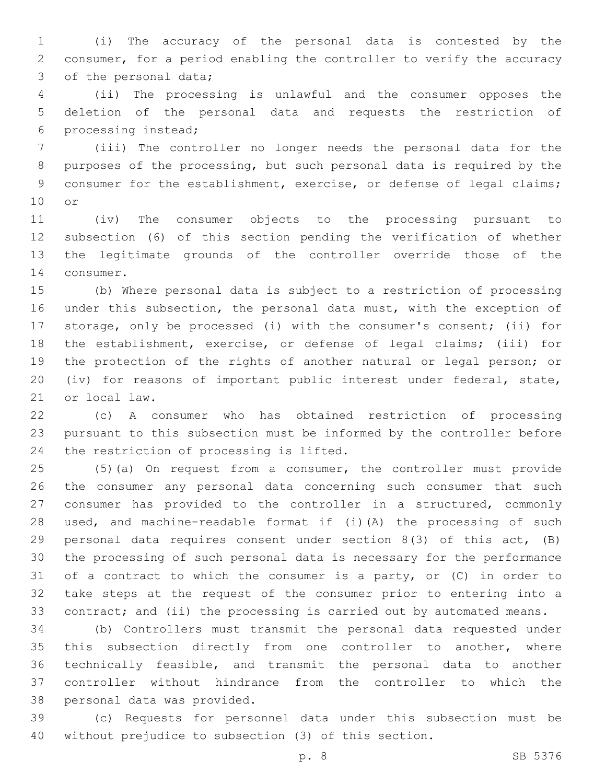(i) The accuracy of the personal data is contested by the consumer, for a period enabling the controller to verify the accuracy 3 of the personal data;

 (ii) The processing is unlawful and the consumer opposes the deletion of the personal data and requests the restriction of 6 processing instead;

 (iii) The controller no longer needs the personal data for the purposes of the processing, but such personal data is required by the 9 consumer for the establishment, exercise, or defense of legal claims; 10 or

 (iv) The consumer objects to the processing pursuant to subsection (6) of this section pending the verification of whether the legitimate grounds of the controller override those of the 14 consumer.

 (b) Where personal data is subject to a restriction of processing under this subsection, the personal data must, with the exception of storage, only be processed (i) with the consumer's consent; (ii) for the establishment, exercise, or defense of legal claims; (iii) for the protection of the rights of another natural or legal person; or (iv) for reasons of important public interest under federal, state, 21 or local law.

 (c) A consumer who has obtained restriction of processing pursuant to this subsection must be informed by the controller before 24 the restriction of processing is lifted.

 (5)(a) On request from a consumer, the controller must provide the consumer any personal data concerning such consumer that such consumer has provided to the controller in a structured, commonly used, and machine-readable format if (i)(A) the processing of such personal data requires consent under section 8(3) of this act, (B) the processing of such personal data is necessary for the performance of a contract to which the consumer is a party, or (C) in order to take steps at the request of the consumer prior to entering into a contract; and (ii) the processing is carried out by automated means.

 (b) Controllers must transmit the personal data requested under 35 this subsection directly from one controller to another, where technically feasible, and transmit the personal data to another controller without hindrance from the controller to which the 38 personal data was provided.

 (c) Requests for personnel data under this subsection must be without prejudice to subsection (3) of this section.

p. 8 SB 5376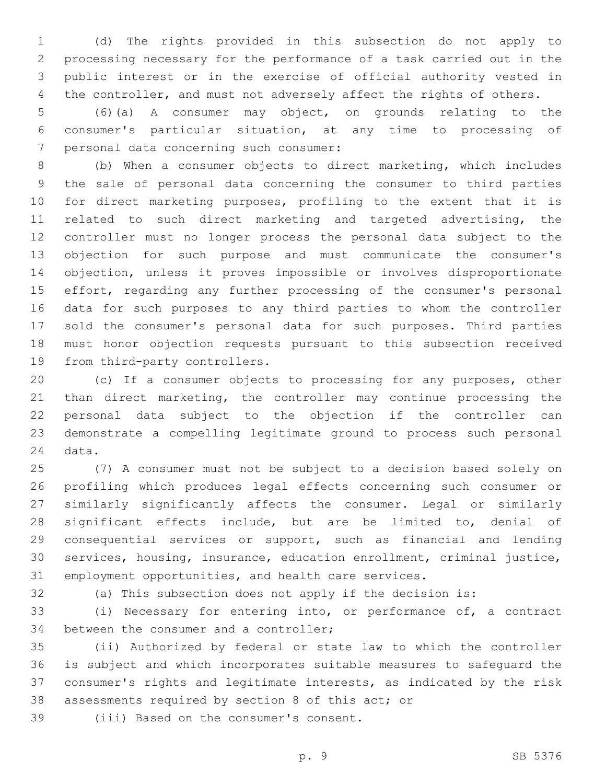(d) The rights provided in this subsection do not apply to processing necessary for the performance of a task carried out in the public interest or in the exercise of official authority vested in the controller, and must not adversely affect the rights of others.

 (6)(a) A consumer may object, on grounds relating to the consumer's particular situation, at any time to processing of 7 personal data concerning such consumer:

 (b) When a consumer objects to direct marketing, which includes the sale of personal data concerning the consumer to third parties for direct marketing purposes, profiling to the extent that it is related to such direct marketing and targeted advertising, the controller must no longer process the personal data subject to the objection for such purpose and must communicate the consumer's objection, unless it proves impossible or involves disproportionate effort, regarding any further processing of the consumer's personal data for such purposes to any third parties to whom the controller sold the consumer's personal data for such purposes. Third parties must honor objection requests pursuant to this subsection received 19 from third-party controllers.

 (c) If a consumer objects to processing for any purposes, other 21 than direct marketing, the controller may continue processing the personal data subject to the objection if the controller can demonstrate a compelling legitimate ground to process such personal 24 data.

 (7) A consumer must not be subject to a decision based solely on profiling which produces legal effects concerning such consumer or similarly significantly affects the consumer. Legal or similarly significant effects include, but are be limited to, denial of 29 consequential services or support, such as financial and lending services, housing, insurance, education enrollment, criminal justice, employment opportunities, and health care services.

(a) This subsection does not apply if the decision is:

 (i) Necessary for entering into, or performance of, a contract 34 between the consumer and a controller;

 (ii) Authorized by federal or state law to which the controller is subject and which incorporates suitable measures to safeguard the consumer's rights and legitimate interests, as indicated by the risk 38 assessments required by section 8 of this act; or

39 (iii) Based on the consumer's consent.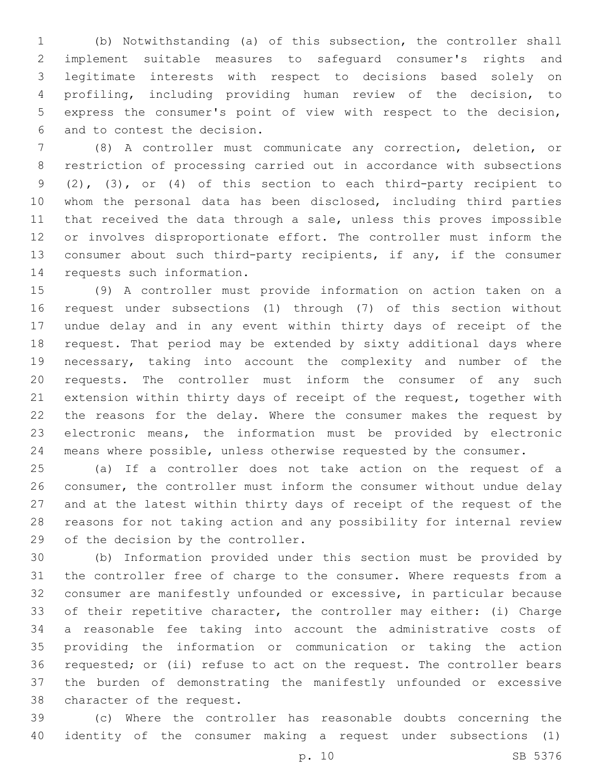(b) Notwithstanding (a) of this subsection, the controller shall implement suitable measures to safeguard consumer's rights and legitimate interests with respect to decisions based solely on profiling, including providing human review of the decision, to express the consumer's point of view with respect to the decision, 6 and to contest the decision.

 (8) A controller must communicate any correction, deletion, or restriction of processing carried out in accordance with subsections (2), (3), or (4) of this section to each third-party recipient to whom the personal data has been disclosed, including third parties 11 that received the data through a sale, unless this proves impossible or involves disproportionate effort. The controller must inform the consumer about such third-party recipients, if any, if the consumer 14 requests such information.

 (9) A controller must provide information on action taken on a request under subsections (1) through (7) of this section without undue delay and in any event within thirty days of receipt of the request. That period may be extended by sixty additional days where necessary, taking into account the complexity and number of the requests. The controller must inform the consumer of any such extension within thirty days of receipt of the request, together with the reasons for the delay. Where the consumer makes the request by electronic means, the information must be provided by electronic means where possible, unless otherwise requested by the consumer.

 (a) If a controller does not take action on the request of a consumer, the controller must inform the consumer without undue delay and at the latest within thirty days of receipt of the request of the reasons for not taking action and any possibility for internal review 29 of the decision by the controller.

 (b) Information provided under this section must be provided by the controller free of charge to the consumer. Where requests from a consumer are manifestly unfounded or excessive, in particular because of their repetitive character, the controller may either: (i) Charge a reasonable fee taking into account the administrative costs of providing the information or communication or taking the action requested; or (ii) refuse to act on the request. The controller bears the burden of demonstrating the manifestly unfounded or excessive 38 character of the request.

 (c) Where the controller has reasonable doubts concerning the identity of the consumer making a request under subsections (1)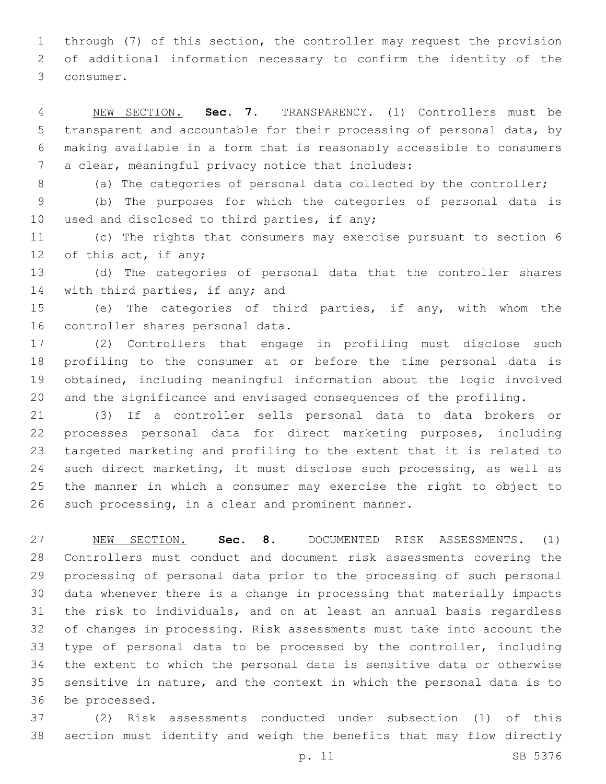through (7) of this section, the controller may request the provision of additional information necessary to confirm the identity of the 3 consumer.

 NEW SECTION. **Sec. 7.** TRANSPARENCY. (1) Controllers must be transparent and accountable for their processing of personal data, by making available in a form that is reasonably accessible to consumers a clear, meaningful privacy notice that includes:

(a) The categories of personal data collected by the controller;

 (b) The purposes for which the categories of personal data is 10 used and disclosed to third parties, if any;

 (c) The rights that consumers may exercise pursuant to section 6 12 of this act, if any;

 (d) The categories of personal data that the controller shares 14 with third parties, if any; and

 (e) The categories of third parties, if any, with whom the 16 controller shares personal data.

 (2) Controllers that engage in profiling must disclose such profiling to the consumer at or before the time personal data is obtained, including meaningful information about the logic involved and the significance and envisaged consequences of the profiling.

 (3) If a controller sells personal data to data brokers or processes personal data for direct marketing purposes, including targeted marketing and profiling to the extent that it is related to such direct marketing, it must disclose such processing, as well as the manner in which a consumer may exercise the right to object to 26 such processing, in a clear and prominent manner.

 NEW SECTION. **Sec. 8.** DOCUMENTED RISK ASSESSMENTS. (1) Controllers must conduct and document risk assessments covering the processing of personal data prior to the processing of such personal data whenever there is a change in processing that materially impacts the risk to individuals, and on at least an annual basis regardless of changes in processing. Risk assessments must take into account the type of personal data to be processed by the controller, including the extent to which the personal data is sensitive data or otherwise sensitive in nature, and the context in which the personal data is to be processed.

 (2) Risk assessments conducted under subsection (1) of this section must identify and weigh the benefits that may flow directly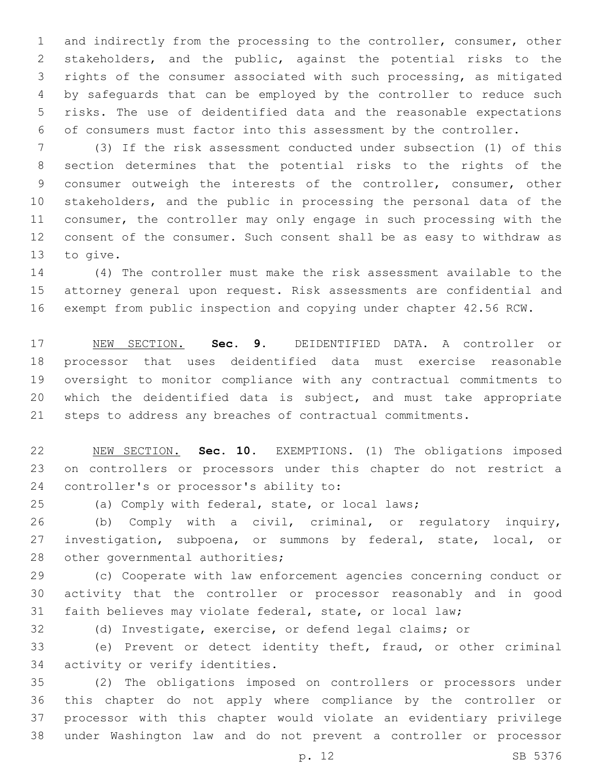and indirectly from the processing to the controller, consumer, other stakeholders, and the public, against the potential risks to the rights of the consumer associated with such processing, as mitigated by safeguards that can be employed by the controller to reduce such risks. The use of deidentified data and the reasonable expectations of consumers must factor into this assessment by the controller.

 (3) If the risk assessment conducted under subsection (1) of this section determines that the potential risks to the rights of the consumer outweigh the interests of the controller, consumer, other stakeholders, and the public in processing the personal data of the consumer, the controller may only engage in such processing with the consent of the consumer. Such consent shall be as easy to withdraw as 13 to give.

 (4) The controller must make the risk assessment available to the attorney general upon request. Risk assessments are confidential and exempt from public inspection and copying under chapter 42.56 RCW.

 NEW SECTION. **Sec. 9.** DEIDENTIFIED DATA. A controller or processor that uses deidentified data must exercise reasonable oversight to monitor compliance with any contractual commitments to which the deidentified data is subject, and must take appropriate steps to address any breaches of contractual commitments.

 NEW SECTION. **Sec. 10.** EXEMPTIONS. (1) The obligations imposed on controllers or processors under this chapter do not restrict a controller's or processor's ability to:

(a) Comply with federal, state, or local laws;

 (b) Comply with a civil, criminal, or regulatory inquiry, investigation, subpoena, or summons by federal, state, local, or 28 other governmental authorities;

 (c) Cooperate with law enforcement agencies concerning conduct or activity that the controller or processor reasonably and in good faith believes may violate federal, state, or local law;

(d) Investigate, exercise, or defend legal claims; or

 (e) Prevent or detect identity theft, fraud, or other criminal 34 activity or verify identities.

 (2) The obligations imposed on controllers or processors under this chapter do not apply where compliance by the controller or processor with this chapter would violate an evidentiary privilege under Washington law and do not prevent a controller or processor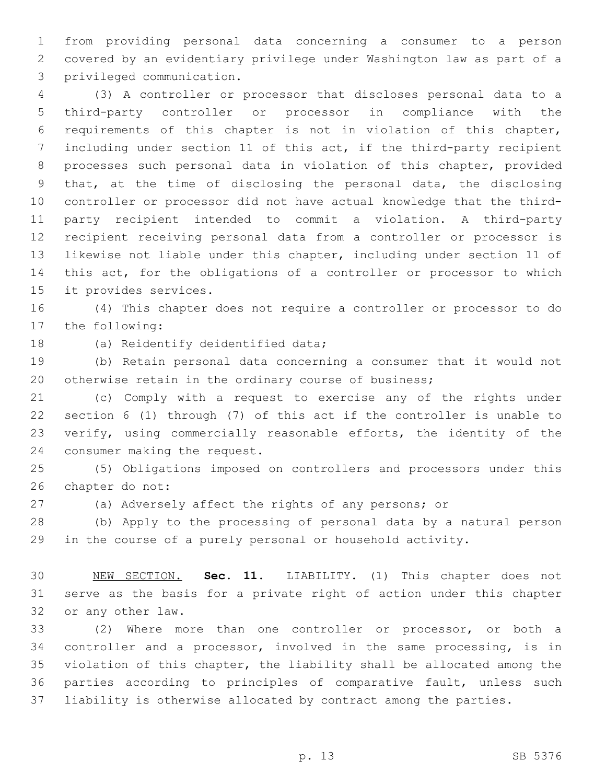from providing personal data concerning a consumer to a person covered by an evidentiary privilege under Washington law as part of a privileged communication.3

 (3) A controller or processor that discloses personal data to a third-party controller or processor in compliance with the requirements of this chapter is not in violation of this chapter, including under section 11 of this act, if the third-party recipient processes such personal data in violation of this chapter, provided that, at the time of disclosing the personal data, the disclosing controller or processor did not have actual knowledge that the third- party recipient intended to commit a violation. A third-party recipient receiving personal data from a controller or processor is likewise not liable under this chapter, including under section 11 of this act, for the obligations of a controller or processor to which 15 it provides services.

 (4) This chapter does not require a controller or processor to do 17 the following:

18 (a) Reidentify deidentified data;

 (b) Retain personal data concerning a consumer that it would not 20 otherwise retain in the ordinary course of business;

 (c) Comply with a request to exercise any of the rights under section 6 (1) through (7) of this act if the controller is unable to verify, using commercially reasonable efforts, the identity of the 24 consumer making the request.

 (5) Obligations imposed on controllers and processors under this 26 chapter do not:

(a) Adversely affect the rights of any persons; or

 (b) Apply to the processing of personal data by a natural person in the course of a purely personal or household activity.

 NEW SECTION. **Sec. 11.** LIABILITY. (1) This chapter does not serve as the basis for a private right of action under this chapter or any other law.

 (2) Where more than one controller or processor, or both a controller and a processor, involved in the same processing, is in violation of this chapter, the liability shall be allocated among the parties according to principles of comparative fault, unless such liability is otherwise allocated by contract among the parties.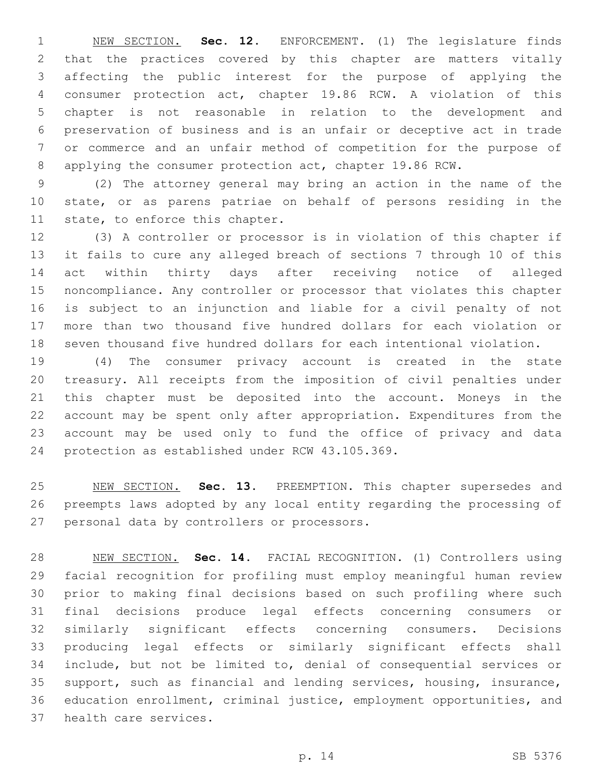NEW SECTION. **Sec. 12.** ENFORCEMENT. (1) The legislature finds that the practices covered by this chapter are matters vitally affecting the public interest for the purpose of applying the consumer protection act, chapter 19.86 RCW. A violation of this chapter is not reasonable in relation to the development and preservation of business and is an unfair or deceptive act in trade or commerce and an unfair method of competition for the purpose of applying the consumer protection act, chapter 19.86 RCW.

 (2) The attorney general may bring an action in the name of the state, or as parens patriae on behalf of persons residing in the 11 state, to enforce this chapter.

 (3) A controller or processor is in violation of this chapter if it fails to cure any alleged breach of sections 7 through 10 of this act within thirty days after receiving notice of alleged noncompliance. Any controller or processor that violates this chapter is subject to an injunction and liable for a civil penalty of not more than two thousand five hundred dollars for each violation or seven thousand five hundred dollars for each intentional violation.

 (4) The consumer privacy account is created in the state treasury. All receipts from the imposition of civil penalties under this chapter must be deposited into the account. Moneys in the account may be spent only after appropriation. Expenditures from the account may be used only to fund the office of privacy and data 24 protection as established under RCW 43.105.369.

 NEW SECTION. **Sec. 13.** PREEMPTION. This chapter supersedes and preempts laws adopted by any local entity regarding the processing of personal data by controllers or processors.

 NEW SECTION. **Sec. 14.** FACIAL RECOGNITION. (1) Controllers using facial recognition for profiling must employ meaningful human review prior to making final decisions based on such profiling where such final decisions produce legal effects concerning consumers or similarly significant effects concerning consumers. Decisions producing legal effects or similarly significant effects shall include, but not be limited to, denial of consequential services or support, such as financial and lending services, housing, insurance, education enrollment, criminal justice, employment opportunities, and health care services.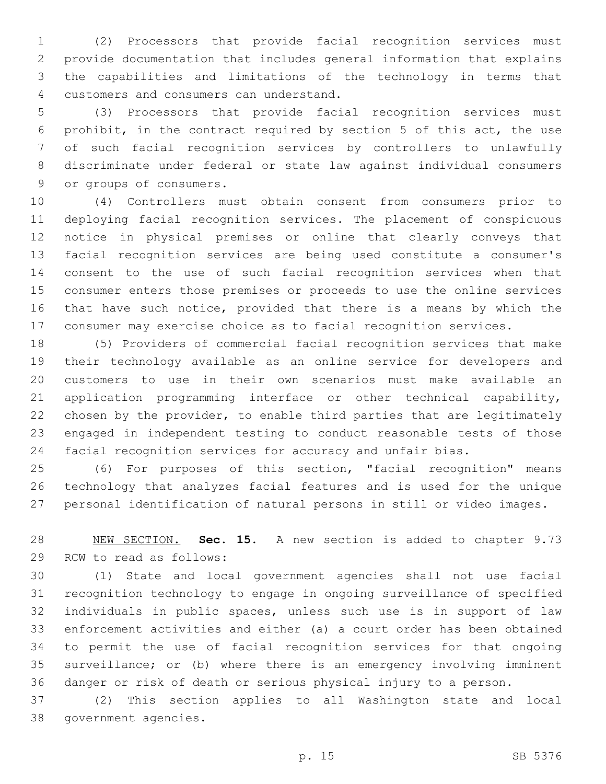(2) Processors that provide facial recognition services must provide documentation that includes general information that explains the capabilities and limitations of the technology in terms that 4 customers and consumers can understand.

 (3) Processors that provide facial recognition services must prohibit, in the contract required by section 5 of this act, the use of such facial recognition services by controllers to unlawfully discriminate under federal or state law against individual consumers 9 or groups of consumers.

 (4) Controllers must obtain consent from consumers prior to deploying facial recognition services. The placement of conspicuous notice in physical premises or online that clearly conveys that facial recognition services are being used constitute a consumer's consent to the use of such facial recognition services when that consumer enters those premises or proceeds to use the online services that have such notice, provided that there is a means by which the consumer may exercise choice as to facial recognition services.

 (5) Providers of commercial facial recognition services that make their technology available as an online service for developers and customers to use in their own scenarios must make available an application programming interface or other technical capability, chosen by the provider, to enable third parties that are legitimately engaged in independent testing to conduct reasonable tests of those facial recognition services for accuracy and unfair bias.

 (6) For purposes of this section, "facial recognition" means technology that analyzes facial features and is used for the unique personal identification of natural persons in still or video images.

 NEW SECTION. **Sec. 15.** A new section is added to chapter 9.73 29 RCW to read as follows:

 (1) State and local government agencies shall not use facial recognition technology to engage in ongoing surveillance of specified individuals in public spaces, unless such use is in support of law enforcement activities and either (a) a court order has been obtained to permit the use of facial recognition services for that ongoing surveillance; or (b) where there is an emergency involving imminent danger or risk of death or serious physical injury to a person.

 (2) This section applies to all Washington state and local 38 government agencies.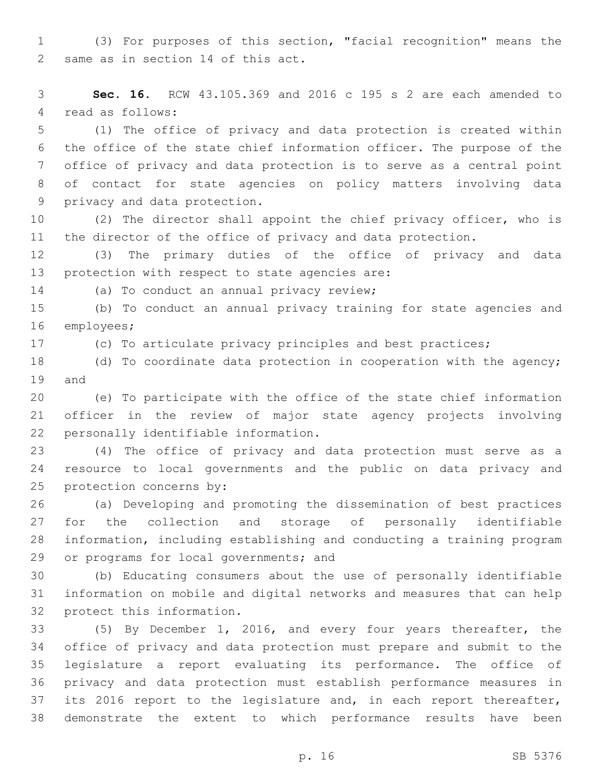(3) For purposes of this section, "facial recognition" means the 2 same as in section 14 of this act.

 **Sec. 16.** RCW 43.105.369 and 2016 c 195 s 2 are each amended to 4 read as follows:

 (1) The office of privacy and data protection is created within the office of the state chief information officer. The purpose of the office of privacy and data protection is to serve as a central point of contact for state agencies on policy matters involving data 9 privacy and data protection.

 (2) The director shall appoint the chief privacy officer, who is the director of the office of privacy and data protection.

 (3) The primary duties of the office of privacy and data 13 protection with respect to state agencies are:

14 (a) To conduct an annual privacy review;

 (b) To conduct an annual privacy training for state agencies and 16 employees;

(c) To articulate privacy principles and best practices;

 (d) To coordinate data protection in cooperation with the agency; 19 and

 (e) To participate with the office of the state chief information officer in the review of major state agency projects involving 22 personally identifiable information.

 (4) The office of privacy and data protection must serve as a resource to local governments and the public on data privacy and 25 protection concerns by:

 (a) Developing and promoting the dissemination of best practices for the collection and storage of personally identifiable information, including establishing and conducting a training program 29 or programs for local governments; and

 (b) Educating consumers about the use of personally identifiable information on mobile and digital networks and measures that can help 32 protect this information.

 (5) By December 1, 2016, and every four years thereafter, the office of privacy and data protection must prepare and submit to the legislature a report evaluating its performance. The office of privacy and data protection must establish performance measures in 37 its 2016 report to the legislature and, in each report thereafter, demonstrate the extent to which performance results have been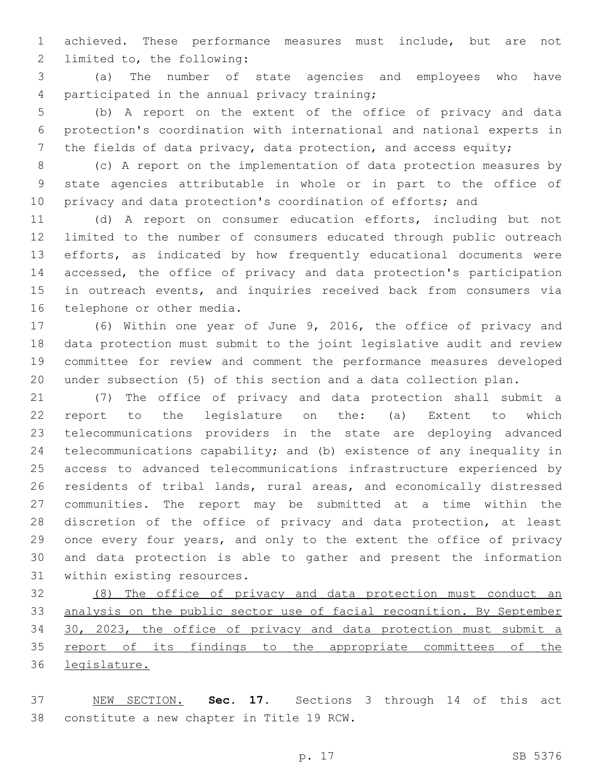achieved. These performance measures must include, but are not 2 limited to, the following:

 (a) The number of state agencies and employees who have 4 participated in the annual privacy training;

 (b) A report on the extent of the office of privacy and data protection's coordination with international and national experts in 7 the fields of data privacy, data protection, and access equity;

 (c) A report on the implementation of data protection measures by state agencies attributable in whole or in part to the office of 10 privacy and data protection's coordination of efforts; and

 (d) A report on consumer education efforts, including but not limited to the number of consumers educated through public outreach efforts, as indicated by how frequently educational documents were accessed, the office of privacy and data protection's participation in outreach events, and inquiries received back from consumers via 16 telephone or other media.

 (6) Within one year of June 9, 2016, the office of privacy and data protection must submit to the joint legislative audit and review committee for review and comment the performance measures developed under subsection (5) of this section and a data collection plan.

 (7) The office of privacy and data protection shall submit a report to the legislature on the: (a) Extent to which telecommunications providers in the state are deploying advanced telecommunications capability; and (b) existence of any inequality in access to advanced telecommunications infrastructure experienced by residents of tribal lands, rural areas, and economically distressed communities. The report may be submitted at a time within the discretion of the office of privacy and data protection, at least once every four years, and only to the extent the office of privacy and data protection is able to gather and present the information 31 within existing resources.

 (8) The office of privacy and data protection must conduct an analysis on the public sector use of facial recognition. By September 30, 2023, the office of privacy and data protection must submit a 35 report of its findings to the appropriate committees of the legislature.

 NEW SECTION. **Sec. 17.** Sections 3 through 14 of this act constitute a new chapter in Title 19 RCW.